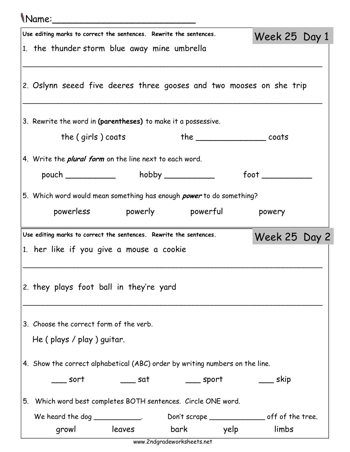|    | Mame:                                                                        |                                                                          |
|----|------------------------------------------------------------------------------|--------------------------------------------------------------------------|
|    | Use editing marks to correct the sentences. Rewrite the sentences.           | Week 25 Day 1                                                            |
|    | 1. the thunder storm blue away mine umbrella                                 |                                                                          |
|    | 2. Oslynn seeed five deeres three gooses and two mooses on she trip          |                                                                          |
|    | 3. Rewrite the word in (parentheses) to make it a possessive.                |                                                                          |
|    | the (girls) coats                                                            |                                                                          |
|    | 4. Write the <i>plural form</i> on the line next to each word.               |                                                                          |
|    | pouch ________________ hobby ___________                                     | $\begin{array}{c} \textsf{foot} \hspace{6.2cm} \textsf{---} \end{array}$ |
|    |                                                                              |                                                                          |
|    | 5. Which word would mean something has enough <i>power</i> to do something?  |                                                                          |
|    | powerless powerly powerful powery                                            |                                                                          |
|    | Use editing marks to correct the sentences. Rewrite the sentences.           | Week 25 Day 2                                                            |
|    | 1. her like if you give a mouse a cookie                                     |                                                                          |
|    |                                                                              |                                                                          |
|    | 2. they plays foot ball in they're yard                                      |                                                                          |
|    | 3. Choose the correct form of the verb.                                      |                                                                          |
|    | He (plays / play) guitar.                                                    |                                                                          |
|    |                                                                              |                                                                          |
|    | 4. Show the correct alphabetical (ABC) order by writing numbers on the line. |                                                                          |
|    | $\rule{1em}{0.15mm}$ sort<br>____ sat<br>_____ sport                         | ____ skip                                                                |
| 5. | Which word best completes BOTH sentences. Circle ONE word.                   |                                                                          |
|    | We heard the dog $\_\_\_\_\_\_\_\_\_\_\_\_\_\_\_\_\_\_\_\_$ .                |                                                                          |
|    | bark yelp<br>leaves<br>growl                                                 | limbs                                                                    |

www.2ndgradeworksheets.net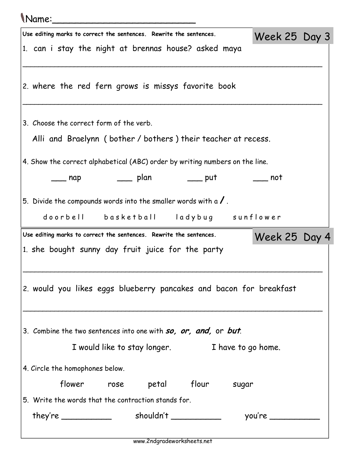|                                                                              | Name:                                                                    |                     |  |  |  |  |  |  |
|------------------------------------------------------------------------------|--------------------------------------------------------------------------|---------------------|--|--|--|--|--|--|
|                                                                              | Use editing marks to correct the sentences. Rewrite the sentences.       | Week 25 Day 3       |  |  |  |  |  |  |
|                                                                              | 1. can i stay the night at brennas house? asked maya                     |                     |  |  |  |  |  |  |
|                                                                              | 2. where the red fern grows is missys favorite book                      |                     |  |  |  |  |  |  |
|                                                                              | 3. Choose the correct form of the verb.                                  |                     |  |  |  |  |  |  |
|                                                                              | Alli and Braelynn (bother / bothers) their teacher at recess.            |                     |  |  |  |  |  |  |
| 4. Show the correct alphabetical (ABC) order by writing numbers on the line. |                                                                          |                     |  |  |  |  |  |  |
|                                                                              | and the put<br>nap                                                       | not                 |  |  |  |  |  |  |
|                                                                              | 5. Divide the compounds words into the smaller words with a $\sqrt{ }$ . |                     |  |  |  |  |  |  |
|                                                                              | doorbell basketball ladybug sunflower                                    |                     |  |  |  |  |  |  |
|                                                                              | Use editing marks to correct the sentences. Rewrite the sentences.       | Week 25 Day 4       |  |  |  |  |  |  |
|                                                                              | 1. she bought sunny day fruit juice for the party                        |                     |  |  |  |  |  |  |
|                                                                              |                                                                          |                     |  |  |  |  |  |  |
|                                                                              | 2. would you likes eggs blueberry pancakes and bacon for breakfast       |                     |  |  |  |  |  |  |
|                                                                              | 3. Combine the two sentences into one with so, or, and, or but.          |                     |  |  |  |  |  |  |
|                                                                              | I would like to stay longer. I have to go home.                          |                     |  |  |  |  |  |  |
|                                                                              | 4. Circle the homophones below.                                          |                     |  |  |  |  |  |  |
|                                                                              | flower rose petal flour sugar                                            |                     |  |  |  |  |  |  |
|                                                                              | 5. Write the words that the contraction stands for.                      |                     |  |  |  |  |  |  |
|                                                                              |                                                                          | you're ____________ |  |  |  |  |  |  |
|                                                                              |                                                                          |                     |  |  |  |  |  |  |

www.2ndgradeworksheets.net